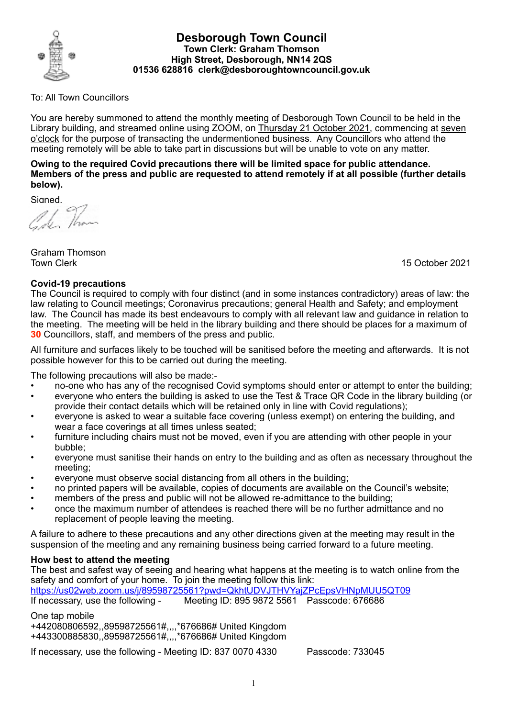

#### **Desborough Town Council Town Clerk: Graham Thomson High Street, Desborough, NN14 2QS 01536 628816 clerk@desboroughtowncouncil.gov.uk**

### To: All Town Councillors

You are hereby summoned to attend the monthly meeting of Desborough Town Council to be held in the Library building, and streamed online using ZOOM, on Thursday 21 October 2021, commencing at seven o'clock for the purpose of transacting the undermentioned business. Any Councillors who attend the meeting remotely will be able to take part in discussions but will be unable to vote on any matter.

**Owing to the required Covid precautions there will be limited space for public attendance. Members of the press and public are requested to attend remotely if at all possible (further details below).**

Sianed.

Graham Thomson Town Clerk 15 October 2021

#### **Covid-19 precautions**

The Council is required to comply with four distinct (and in some instances contradictory) areas of law: the law relating to Council meetings; Coronavirus precautions; general Health and Safety; and employment law. The Council has made its best endeavours to comply with all relevant law and guidance in relation to the meeting. The meeting will be held in the library building and there should be places for a maximum of **30** Councillors, staff, and members of the press and public.

All furniture and surfaces likely to be touched will be sanitised before the meeting and afterwards. It is not possible however for this to be carried out during the meeting.

The following precautions will also be made:-

- no-one who has any of the recognised Covid symptoms should enter or attempt to enter the building;
- everyone who enters the building is asked to use the Test & Trace QR Code in the library building (or provide their contact details which will be retained only in line with Covid regulations);
- everyone is asked to wear a suitable face covering (unless exempt) on entering the building, and wear a face coverings at all times unless seated;
- furniture including chairs must not be moved, even if you are attending with other people in your bubble;
- everyone must sanitise their hands on entry to the building and as often as necessary throughout the meeting;
- everyone must observe social distancing from all others in the building;
- no printed papers will be available, copies of documents are available on the Council's website;
- members of the press and public will not be allowed re-admittance to the building;
- once the maximum number of attendees is reached there will be no further admittance and no replacement of people leaving the meeting.

A failure to adhere to these precautions and any other directions given at the meeting may result in the suspension of the meeting and any remaining business being carried forward to a future meeting.

## **How best to attend the meeting**

The best and safest way of seeing and hearing what happens at the meeting is to watch online from the safety and comfort of your home. To join the meeting follow this link:

https://us02web.zoom.us/j/89598725561?pwd=QkhtUDVJTHVYajZPcEpsVHNpMUU5QT09

If necessary, use the following - Meeting ID: 895 9872 5561 Passcode: 676686

One tap mobile +442080806592,,89598725561#,,,,\*676686# United Kingdom +443300885830,,89598725561#,,,,\*676686# United Kingdom

If necessary, use the following - Meeting ID: 837 0070 4330 Passcode: 733045